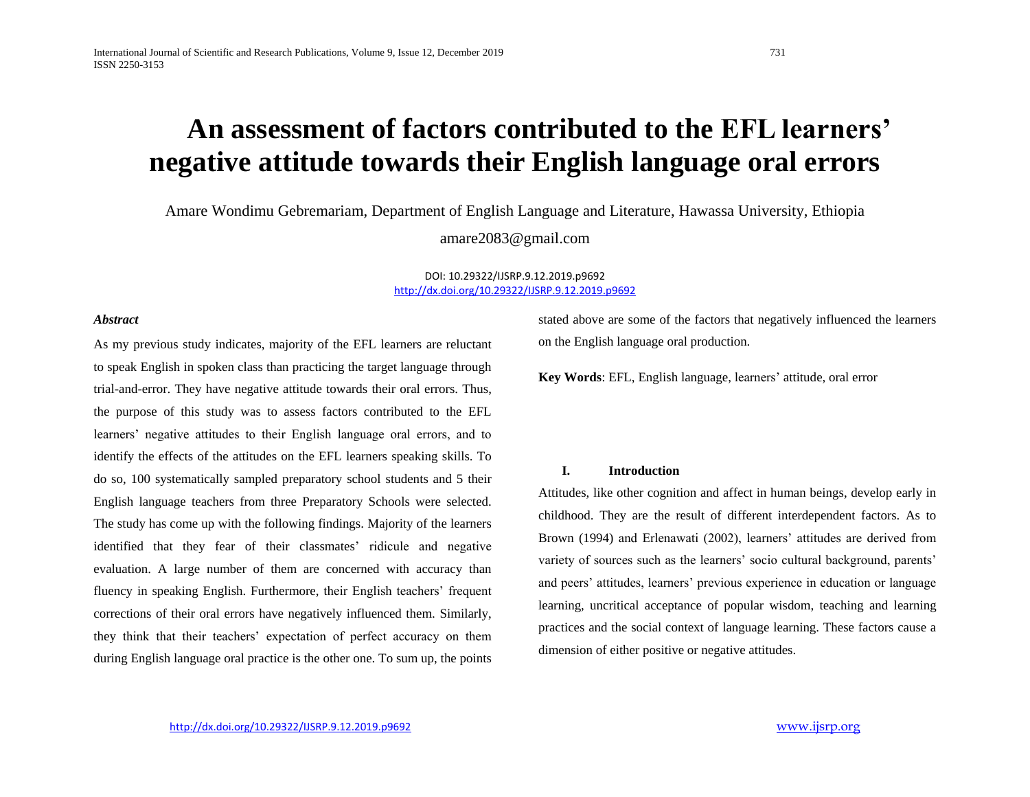# **An assessment of factors contributed to the EFL learners' negative attitude towards their English language oral errors**

Amare Wondimu Gebremariam, Department of English Language and Literature, Hawassa University, Ethiopia

amare2083@gmail.com

DOI: 10.29322/IJSRP.9.12.2019.p9692 <http://dx.doi.org/10.29322/IJSRP.9.12.2019.p9692>

#### *Abstract*

As my previous study indicates, majority of the EFL learners are reluctant to speak English in spoken class than practicing the target language through trial-and-error. They have negative attitude towards their oral errors. Thus, the purpose of this study was to assess factors contributed to the EFL learners' negative attitudes to their English language oral errors, and to identify the effects of the attitudes on the EFL learners speaking skills. To do so, 100 systematically sampled preparatory school students and 5 their English language teachers from three Preparatory Schools were selected. The study has come up with the following findings. Majority of the learners identified that they fear of their classmates' ridicule and negative evaluation. A large number of them are concerned with accuracy than fluency in speaking English. Furthermore, their English teachers' frequent corrections of their oral errors have negatively influenced them. Similarly, they think that their teachers' expectation of perfect accuracy on them during English language oral practice is the other one. To sum up, the points stated above are some of the factors that negatively influenced the learners on the English language oral production.

**Key Words**: EFL, English language, learners' attitude, oral error

#### **I. Introduction**

Attitudes, like other cognition and affect in human beings, develop early in childhood. They are the result of different interdependent factors. As to Brown (1994) and Erlenawati (2002), learners' attitudes are derived from variety of sources such as the learners' socio cultural background, parents' and peers' attitudes, learners' previous experience in education or language learning, uncritical acceptance of popular wisdom, teaching and learning practices and the social context of language learning. These factors cause a dimension of either positive or negative attitudes.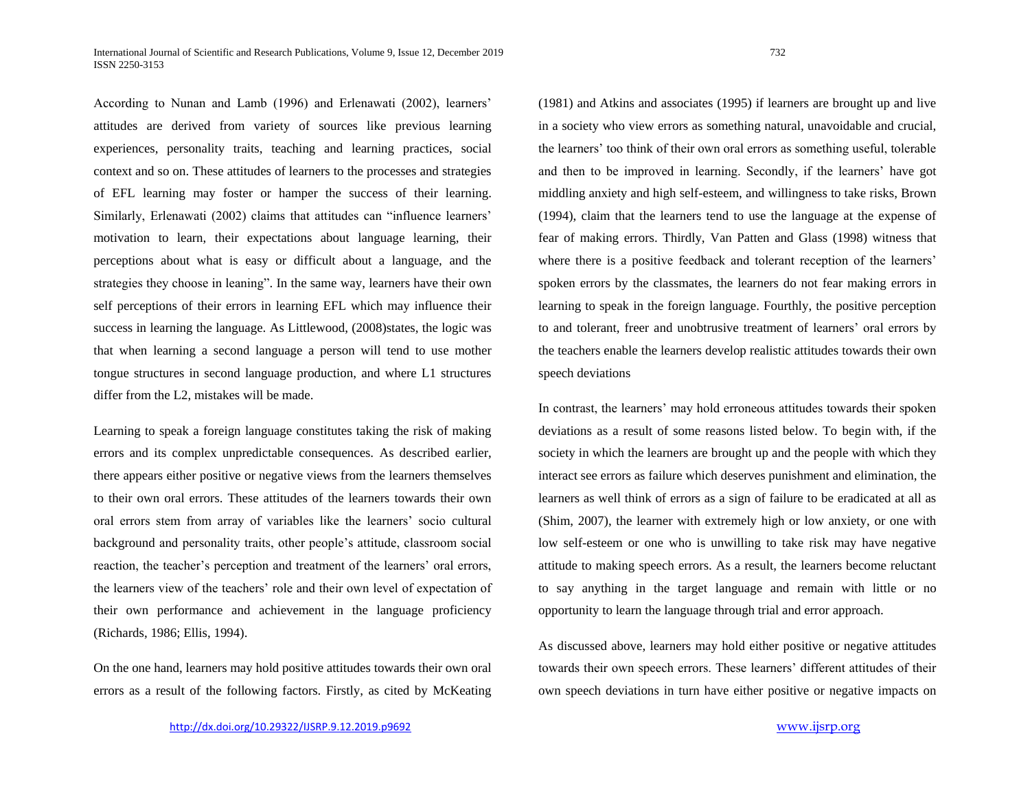According to Nunan and Lamb (1996) and Erlenawati (2002), learners' attitudes are derived from variety of sources like previous learning experiences, personality traits, teaching and learning practices, social context and so on. These attitudes of learners to the processes and strategies of EFL learning may foster or hamper the success of their learning. Similarly, Erlenawati (2002) claims that attitudes can "influence learners' motivation to learn, their expectations about language learning, their perceptions about what is easy or difficult about a language, and the strategies they choose in leaning". In the same way, learners have their own self perceptions of their errors in learning EFL which may influence their success in learning the language. As Littlewood, (2008)states, the logic was that when learning a second language a person will tend to use mother tongue structures in second language production, and where L1 structures differ from the L2, mistakes will be made.

Learning to speak a foreign language constitutes taking the risk of making errors and its complex unpredictable consequences. As described earlier, there appears either positive or negative views from the learners themselves to their own oral errors. These attitudes of the learners towards their own oral errors stem from array of variables like the learners' socio cultural background and personality traits, other people's attitude, classroom social reaction, the teacher's perception and treatment of the learners' oral errors, the learners view of the teachers' role and their own level of expectation of their own performance and achievement in the language proficiency (Richards, 1986; Ellis, 1994).

On the one hand, learners may hold positive attitudes towards their own oral errors as a result of the following factors. Firstly, as cited by McKeating (1981) and Atkins and associates (1995) if learners are brought up and live in a society who view errors as something natural, unavoidable and crucial, the learners' too think of their own oral errors as something useful, tolerable and then to be improved in learning. Secondly, if the learners' have got middling anxiety and high self-esteem, and willingness to take risks, Brown (1994), claim that the learners tend to use the language at the expense of fear of making errors. Thirdly, Van Patten and Glass (1998) witness that where there is a positive feedback and tolerant reception of the learners' spoken errors by the classmates, the learners do not fear making errors in learning to speak in the foreign language. Fourthly, the positive perception to and tolerant, freer and unobtrusive treatment of learners' oral errors by the teachers enable the learners develop realistic attitudes towards their own speech deviations

In contrast, the learners' may hold erroneous attitudes towards their spoken deviations as a result of some reasons listed below. To begin with, if the society in which the learners are brought up and the people with which they interact see errors as failure which deserves punishment and elimination, the learners as well think of errors as a sign of failure to be eradicated at all as (Shim, 2007), the learner with extremely high or low anxiety, or one with low self-esteem or one who is unwilling to take risk may have negative attitude to making speech errors. As a result, the learners become reluctant to say anything in the target language and remain with little or no opportunity to learn the language through trial and error approach.

As discussed above, learners may hold either positive or negative attitudes towards their own speech errors. These learners' different attitudes of their own speech deviations in turn have either positive or negative impacts on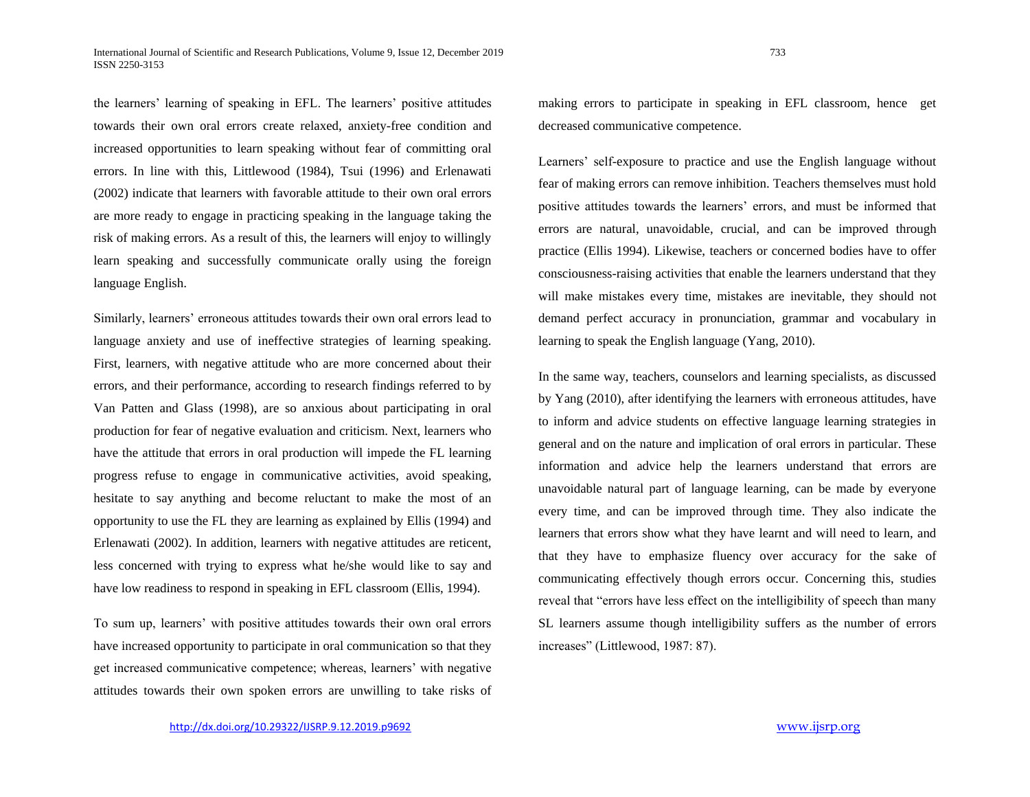the learners' learning of speaking in EFL. The learners' positive attitudes towards their own oral errors create relaxed, anxiety-free condition and increased opportunities to learn speaking without fear of committing oral errors. In line with this, Littlewood (1984), Tsui (1996) and Erlenawati (2002) indicate that learners with favorable attitude to their own oral errors are more ready to engage in practicing speaking in the language taking the risk of making errors. As a result of this, the learners will enjoy to willingly learn speaking and successfully communicate orally using the foreign language English.

Similarly, learners' erroneous attitudes towards their own oral errors lead to language anxiety and use of ineffective strategies of learning speaking. First, learners, with negative attitude who are more concerned about their errors, and their performance, according to research findings referred to by Van Patten and Glass (1998), are so anxious about participating in oral production for fear of negative evaluation and criticism. Next, learners who have the attitude that errors in oral production will impede the FL learning progress refuse to engage in communicative activities, avoid speaking, hesitate to say anything and become reluctant to make the most of an opportunity to use the FL they are learning as explained by Ellis (1994) and Erlenawati (2002). In addition, learners with negative attitudes are reticent, less concerned with trying to express what he/she would like to say and have low readiness to respond in speaking in EFL classroom (Ellis, 1994).

To sum up, learners' with positive attitudes towards their own oral errors have increased opportunity to participate in oral communication so that they get increased communicative competence; whereas, learners' with negative attitudes towards their own spoken errors are unwilling to take risks of making errors to participate in speaking in EFL classroom, hence get decreased communicative competence.

Learners' self-exposure to practice and use the English language without fear of making errors can remove inhibition. Teachers themselves must hold positive attitudes towards the learners' errors, and must be informed that errors are natural, unavoidable, crucial, and can be improved through practice (Ellis 1994). Likewise, teachers or concerned bodies have to offer consciousness-raising activities that enable the learners understand that they will make mistakes every time, mistakes are inevitable, they should not demand perfect accuracy in pronunciation, grammar and vocabulary in learning to speak the English language (Yang, 2010).

In the same way, teachers, counselors and learning specialists, as discussed by Yang (2010), after identifying the learners with erroneous attitudes, have to inform and advice students on effective language learning strategies in general and on the nature and implication of oral errors in particular. These information and advice help the learners understand that errors are unavoidable natural part of language learning, can be made by everyone every time, and can be improved through time. They also indicate the learners that errors show what they have learnt and will need to learn, and that they have to emphasize fluency over accuracy for the sake of communicating effectively though errors occur. Concerning this, studies reveal that "errors have less effect on the intelligibility of speech than many SL learners assume though intelligibility suffers as the number of errors increases" (Littlewood, 1987: 87).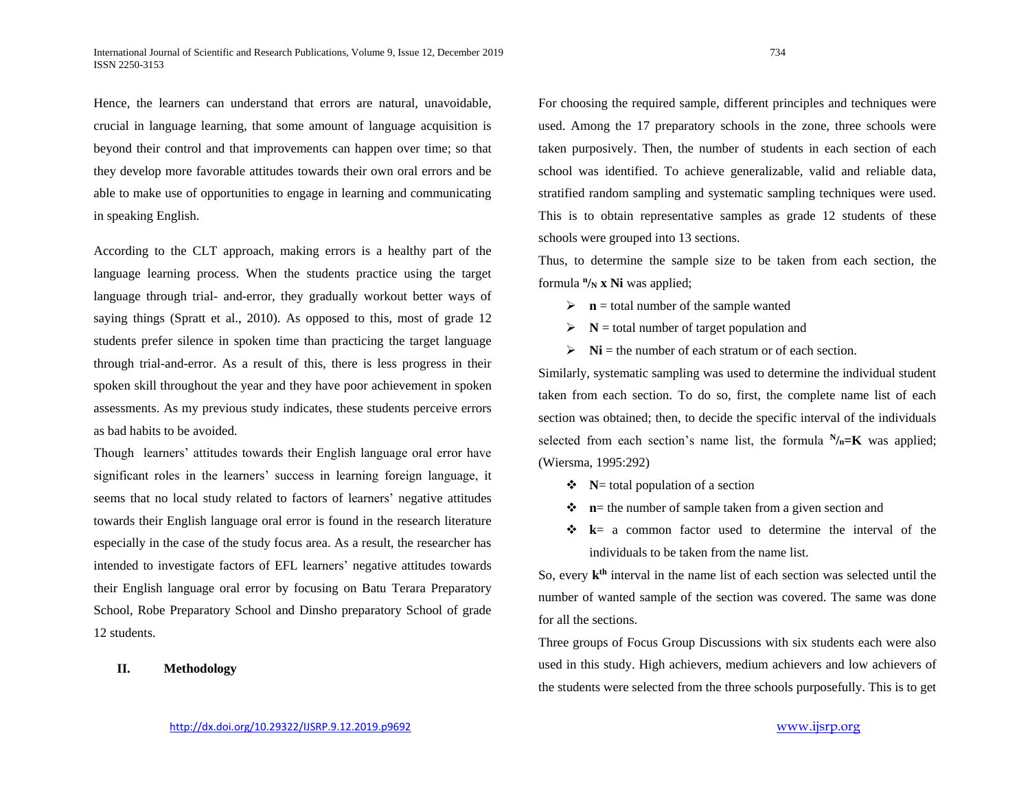Hence, the learners can understand that errors are natural, unavoidable, crucial in language learning, that some amount of language acquisition is beyond their control and that improvements can happen over time; so that they develop more favorable attitudes towards their own oral errors and be able to make use of opportunities to engage in learning and communicating in speaking English.

According to the CLT approach, making errors is a healthy part of the language learning process. When the students practice using the target language through trial- and-error, they gradually workout better ways of saying things (Spratt et al., 2010). As opposed to this, most of grade 12 students prefer silence in spoken time than practicing the target language through trial-and-error. As a result of this, there is less progress in their spoken skill throughout the year and they have poor achievement in spoken assessments. As my previous study indicates, these students perceive errors as bad habits to be avoided.

Though learners' attitudes towards their English language oral error have significant roles in the learners' success in learning foreign language, it seems that no local study related to factors of learners' negative attitudes towards their English language oral error is found in the research literature especially in the case of the study focus area. As a result, the researcher has intended to investigate factors of EFL learners' negative attitudes towards their English language oral error by focusing on Batu Terara Preparatory School, Robe Preparatory School and Dinsho preparatory School of grade 12 students.

**II. Methodology**

For choosing the required sample, different principles and techniques were used. Among the 17 preparatory schools in the zone, three schools were taken purposively. Then, the number of students in each section of each school was identified. To achieve generalizable, valid and reliable data, stratified random sampling and systematic sampling techniques were used. This is to obtain representative samples as grade 12 students of these schools were grouped into 13 sections.

Thus, to determine the sample size to be taken from each section, the formula  $^n$ /**N x** Ni was applied;

- $\triangleright$  **n** = total number of the sample wanted
- $\triangleright$  **N** = total number of target population and
- $\triangleright$  **Ni** = the number of each stratum or of each section.

Similarly, systematic sampling was used to determine the individual student taken from each section. To do so, first, the complete name list of each section was obtained; then, to decide the specific interval of the individuals selected from each section's name list, the formula  $N_{n} = K$  was applied; (Wiersma, 1995:292)

- **N**= total population of a section
- $\bullet$  **n**= the number of sample taken from a given section and
- **k** = a common factor used to determine the interval of the individuals to be taken from the name list.

So, every  $k<sup>th</sup>$  interval in the name list of each section was selected until the number of wanted sample of the section was covered. The same was done for all the sections.

Three groups of Focus Group Discussions with six students each were also used in this study. High achievers, medium achievers and low achievers of the students were selected from the three schools purposefully. This is to get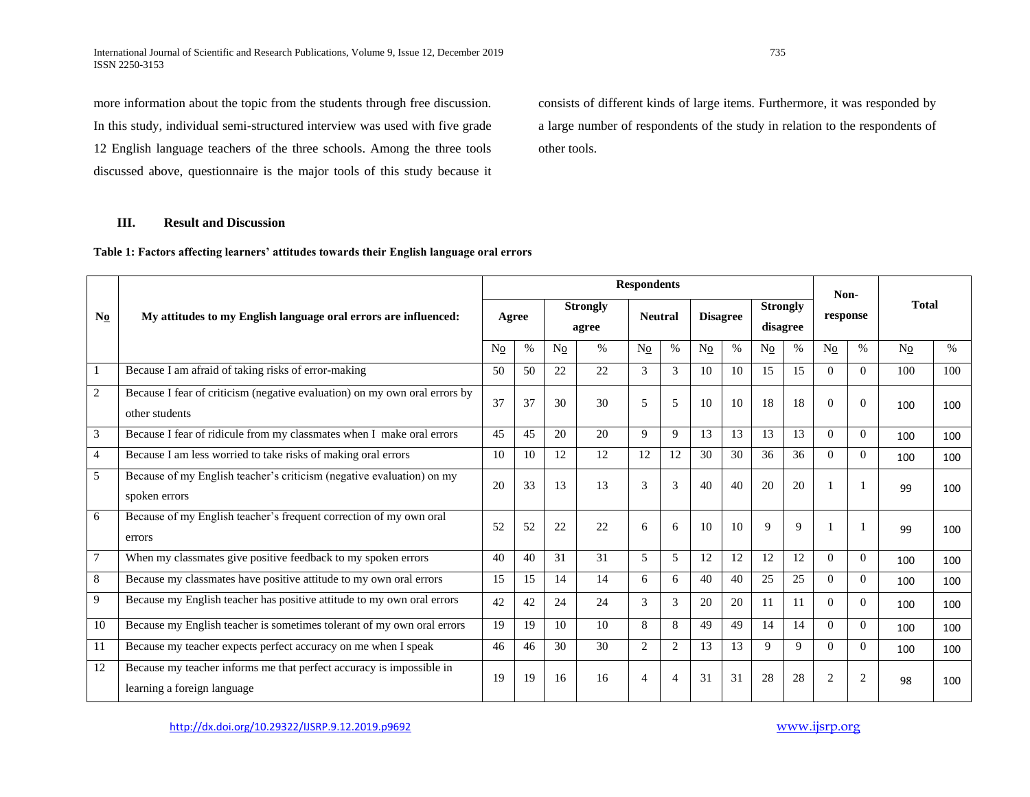International Journal of Scientific and Research Publications, Volume 9, Issue 12, December 2019 735 ISSN 2250-3153

more information about the topic from the students through free discussion. In this study, individual semi-structured interview was used with five grade 12 English language teachers of the three schools. Among the three tools discussed above, questionnaire is the major tools of this study because it consists of different kinds of large items. Furthermore, it was responded by a large number of respondents of the study in relation to the respondents of other tools.

## **III. Result and Discussion**

**Table 1: Factors affecting learners' attitudes towards their English language oral errors**

|                | My attitudes to my English language oral errors are influenced:                                     | <b>Respondents</b> |      |                          |      |                |                |                 |      |                             |             |                  |                |                |      |
|----------------|-----------------------------------------------------------------------------------------------------|--------------------|------|--------------------------|------|----------------|----------------|-----------------|------|-----------------------------|-------------|------------------|----------------|----------------|------|
| N <sub>0</sub> |                                                                                                     | Agree              |      | <b>Strongly</b><br>agree |      | <b>Neutral</b> |                | <b>Disagree</b> |      | <b>Strongly</b><br>disagree |             | Non-<br>response |                | <b>Total</b>   |      |
|                |                                                                                                     | No                 | $\%$ | $N_{0}$                  | $\%$ | No             | $\%$           | No              | $\%$ | No                          | $\%$        | $\rm No$         | $\%$           | N <sub>o</sub> | $\%$ |
|                | Because I am afraid of taking risks of error-making                                                 | 50                 | 50   | 22                       | 22   | 3              | 3              | 10              | 10   | 15                          | 15          | $\Omega$         | $\Omega$       | 100            | 100  |
| 2              | Because I fear of criticism (negative evaluation) on my own oral errors by<br>other students        | 37                 | 37   | 30                       | 30   | 5              | 5              | 10              | 10   | 18                          | 18          | $\Omega$         | $\Omega$       | 100            | 100  |
| 3              | Because I fear of ridicule from my classmates when I make oral errors                               | 45                 | 45   | 20                       | 20   | 9              | 9              | 13              | 13   | 13                          | 13          | $\Omega$         | $\Omega$       | 100            | 100  |
| 4              | Because I am less worried to take risks of making oral errors                                       | 10                 | 10   | 12                       | 12   | 12             | 12             | 30              | 30   | 36                          | 36          | $\Omega$         | $\Omega$       | 100            | 100  |
| 5              | Because of my English teacher's criticism (negative evaluation) on my<br>spoken errors              | 20                 | 33   | 13                       | 13   | 3              | $\mathcal{R}$  | 40              | 40   | 20                          | 20          |                  |                | 99             | 100  |
| 6              | Because of my English teacher's frequent correction of my own oral<br>errors                        | 52                 | 52   | 22                       | 22   | 6              | 6              | 10              | 10   | 9                           | $\mathbf Q$ |                  |                | 99             | 100  |
| $\overline{7}$ | When my classmates give positive feedback to my spoken errors                                       | 40                 | 40   | 31                       | 31   | 5              | 5              | 12              | 12   | 12                          | 12          | $\Omega$         | $\theta$       | 100            | 100  |
| 8              | Because my classmates have positive attitude to my own oral errors                                  | 15                 | 15   | 14                       | 14   | 6              | б.             | 40              | 40   | 25                          | 25          | $\Omega$         | $\Omega$       | 100            | 100  |
| 9              | Because my English teacher has positive attitude to my own oral errors                              | 42                 | 42   | 24                       | 24   | 3              | 3              | 20              | 20   | 11                          | 11          | $\Omega$         | $\Omega$       | 100            | 100  |
| 10             | Because my English teacher is sometimes tolerant of my own oral errors                              | 19                 | 19   | 10                       | 10   | 8              | 8              | 49              | 49   | 14                          | 14          | $\Omega$         | $\Omega$       | 100            | 100  |
| 11             | Because my teacher expects perfect accuracy on me when I speak                                      | 46                 | 46   | 30                       | 30   | 2              | $\overline{c}$ | 13              | 13   | 9                           | 9           | $\Omega$         | $\Omega$       | 100            | 100  |
| 12             | Because my teacher informs me that perfect accuracy is impossible in<br>learning a foreign language | 19                 | 19   | 16                       | 16   | $\Delta$       | $\Delta$       | 31              | 31   | 28                          | 28          | $\overline{c}$   | $\overline{c}$ | 98             | 100  |

<http://dx.doi.org/10.29322/IJSRP.9.12.2019.p9692> [www.ijsrp.org](http://ijsrp.org/)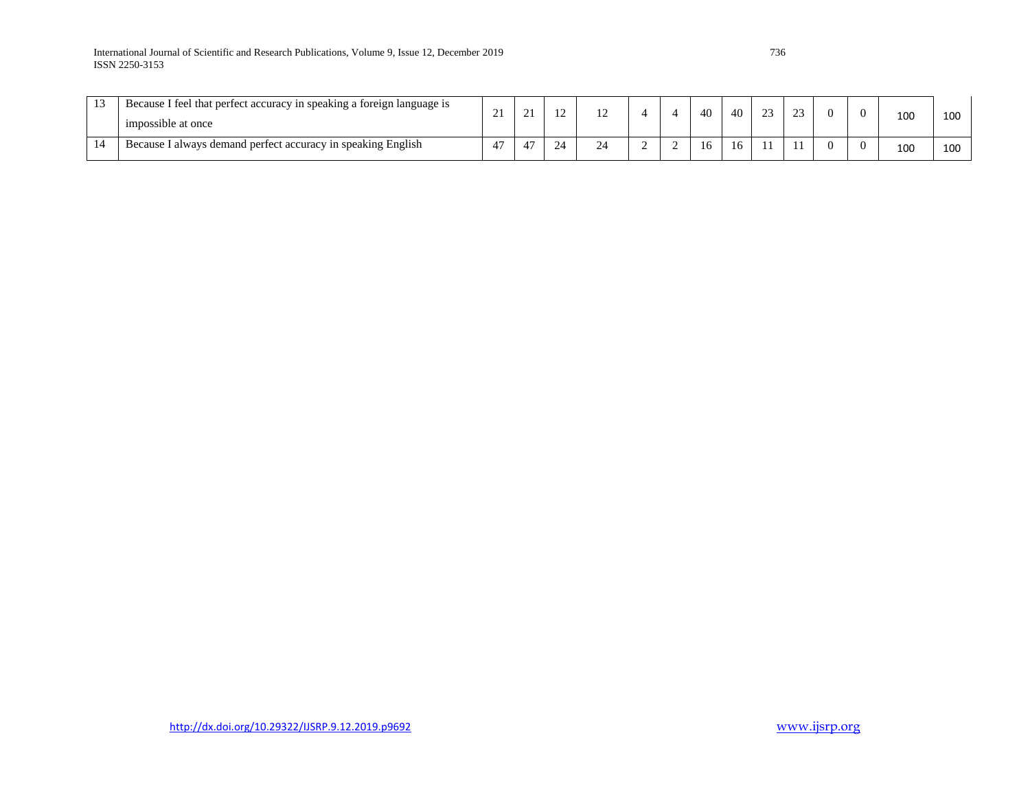| 1 <sub>2</sub><br><b>L</b> | Because I feel that perfect accuracy in speaking a foreign language is<br>impossible at once | $\sim$ |  |    |  | 40 | 40 | $\sim$ | $\sim$ |  | 100 | 100 |
|----------------------------|----------------------------------------------------------------------------------------------|--------|--|----|--|----|----|--------|--------|--|-----|-----|
| 14                         | Because I always demand perfect accuracy in speaking English                                 | 47     |  | -- |  | 16 | 16 | 11     |        |  | 100 | 100 |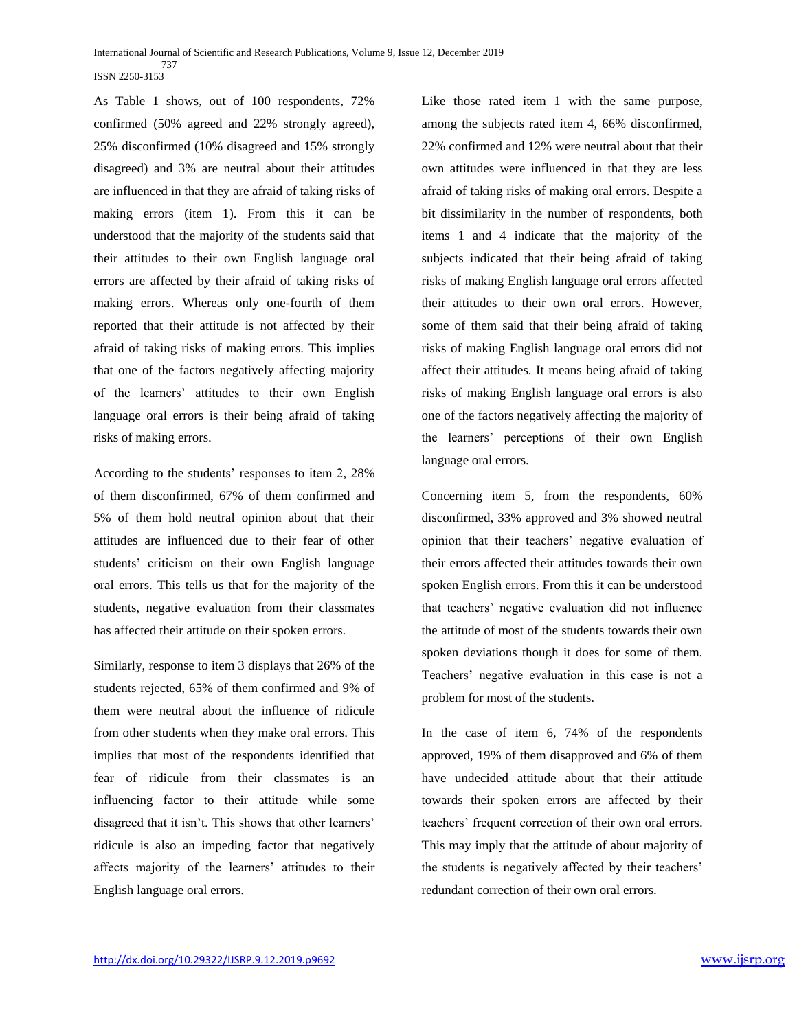International Journal of Scientific and Research Publications, Volume 9, Issue 12, December 2019 737 ISSN 2250-3153

As Table 1 shows, out of 100 respondents, 72% confirmed (50% agreed and 22% strongly agreed), 25% disconfirmed (10% disagreed and 15% strongly disagreed) and 3% are neutral about their attitudes are influenced in that they are afraid of taking risks of making errors (item 1). From this it can be understood that the majority of the students said that their attitudes to their own English language oral errors are affected by their afraid of taking risks of making errors. Whereas only one-fourth of them reported that their attitude is not affected by their afraid of taking risks of making errors. This implies that one of the factors negatively affecting majority of the learners' attitudes to their own English language oral errors is their being afraid of taking risks of making errors.

According to the students' responses to item 2, 28% of them disconfirmed, 67% of them confirmed and 5% of them hold neutral opinion about that their attitudes are influenced due to their fear of other students' criticism on their own English language oral errors. This tells us that for the majority of the students, negative evaluation from their classmates has affected their attitude on their spoken errors.

Similarly, response to item 3 displays that 26% of the students rejected, 65% of them confirmed and 9% of them were neutral about the influence of ridicule from other students when they make oral errors. This implies that most of the respondents identified that fear of ridicule from their classmates is an influencing factor to their attitude while some disagreed that it isn't. This shows that other learners' ridicule is also an impeding factor that negatively affects majority of the learners' attitudes to their English language oral errors.

Like those rated item 1 with the same purpose, among the subjects rated item 4, 66% disconfirmed, 22% confirmed and 12% were neutral about that their own attitudes were influenced in that they are less afraid of taking risks of making oral errors. Despite a bit dissimilarity in the number of respondents, both items 1 and 4 indicate that the majority of the subjects indicated that their being afraid of taking risks of making English language oral errors affected their attitudes to their own oral errors. However, some of them said that their being afraid of taking risks of making English language oral errors did not affect their attitudes. It means being afraid of taking risks of making English language oral errors is also one of the factors negatively affecting the majority of the learners' perceptions of their own English language oral errors.

Concerning item 5, from the respondents, 60% disconfirmed, 33% approved and 3% showed neutral opinion that their teachers' negative evaluation of their errors affected their attitudes towards their own spoken English errors. From this it can be understood that teachers' negative evaluation did not influence the attitude of most of the students towards their own spoken deviations though it does for some of them. Teachers' negative evaluation in this case is not a problem for most of the students.

In the case of item 6, 74% of the respondents approved, 19% of them disapproved and 6% of them have undecided attitude about that their attitude towards their spoken errors are affected by their teachers' frequent correction of their own oral errors. This may imply that the attitude of about majority of the students is negatively affected by their teachers' redundant correction of their own oral errors.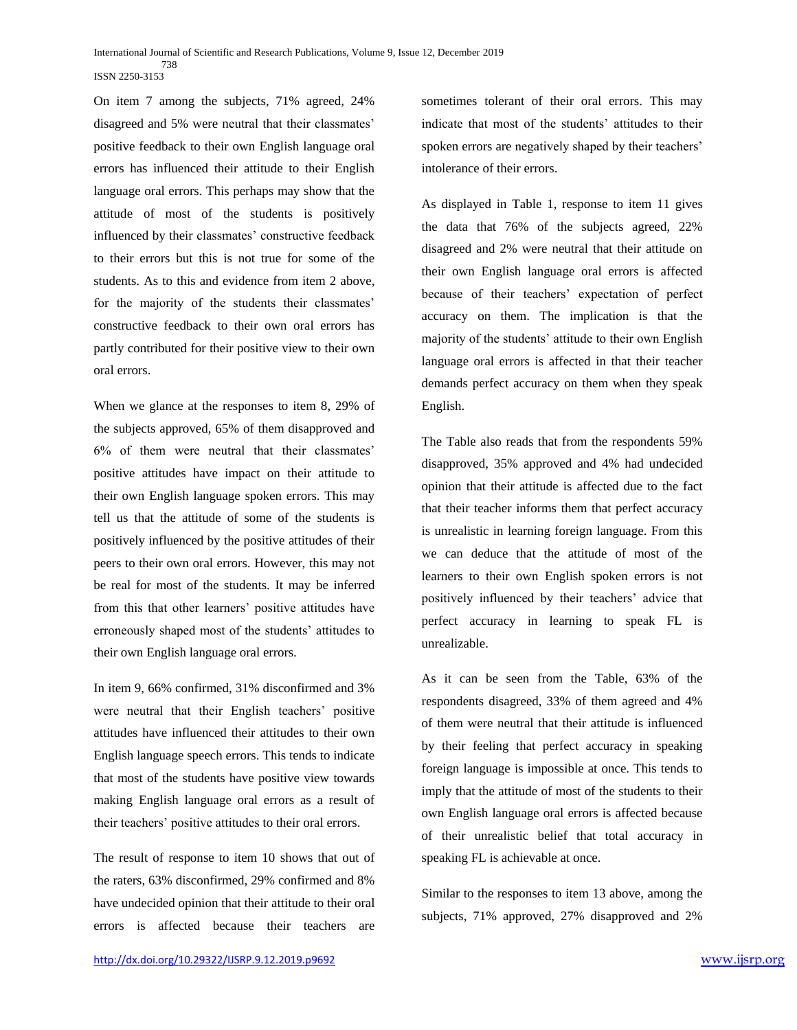On item 7 among the subjects, 71% agreed, 24% disagreed and 5% were neutral that their classmates' positive feedback to their own English language oral errors has influenced their attitude to their English language oral errors. This perhaps may show that the attitude of most of the students is positively influenced by their classmates' constructive feedback to their errors but this is not true for some of the students. As to this and evidence from item 2 above, for the majority of the students their classmates' constructive feedback to their own oral errors has partly contributed for their positive view to their own oral errors.

When we glance at the responses to item 8, 29% of the subjects approved, 65% of them disapproved and 6% of them were neutral that their classmates' positive attitudes have impact on their attitude to their own English language spoken errors. This may tell us that the attitude of some of the students is positively influenced by the positive attitudes of their peers to their own oral errors. However, this may not be real for most of the students. It may be inferred from this that other learners' positive attitudes have erroneously shaped most of the students' attitudes to their own English language oral errors.

In item 9, 66% confirmed, 31% disconfirmed and 3% were neutral that their English teachers' positive attitudes have influenced their attitudes to their own English language speech errors. This tends to indicate that most of the students have positive view towards making English language oral errors as a result of their teachers' positive attitudes to their oral errors.

The result of response to item 10 shows that out of the raters, 63% disconfirmed, 29% confirmed and 8% have undecided opinion that their attitude to their oral errors is affected because their teachers are

sometimes tolerant of their oral errors. This may indicate that most of the students' attitudes to their spoken errors are negatively shaped by their teachers' intolerance of their errors.

As displayed in Table 1, response to item 11 gives the data that 76% of the subjects agreed, 22% disagreed and 2% were neutral that their attitude on their own English language oral errors is affected because of their teachers' expectation of perfect accuracy on them. The implication is that the majority of the students' attitude to their own English language oral errors is affected in that their teacher demands perfect accuracy on them when they speak English.

The Table also reads that from the respondents 59% disapproved, 35% approved and 4% had undecided opinion that their attitude is affected due to the fact that their teacher informs them that perfect accuracy is unrealistic in learning foreign language. From this we can deduce that the attitude of most of the learners to their own English spoken errors is not positively influenced by their teachers' advice that perfect accuracy in learning to speak FL is unrealizable.

As it can be seen from the Table, 63% of the respondents disagreed, 33% of them agreed and 4% of them were neutral that their attitude is influenced by their feeling that perfect accuracy in speaking foreign language is impossible at once. This tends to imply that the attitude of most of the students to their own English language oral errors is affected because of their unrealistic belief that total accuracy in speaking FL is achievable at once.

Similar to the responses to item 13 above, among the subjects, 71% approved, 27% disapproved and 2%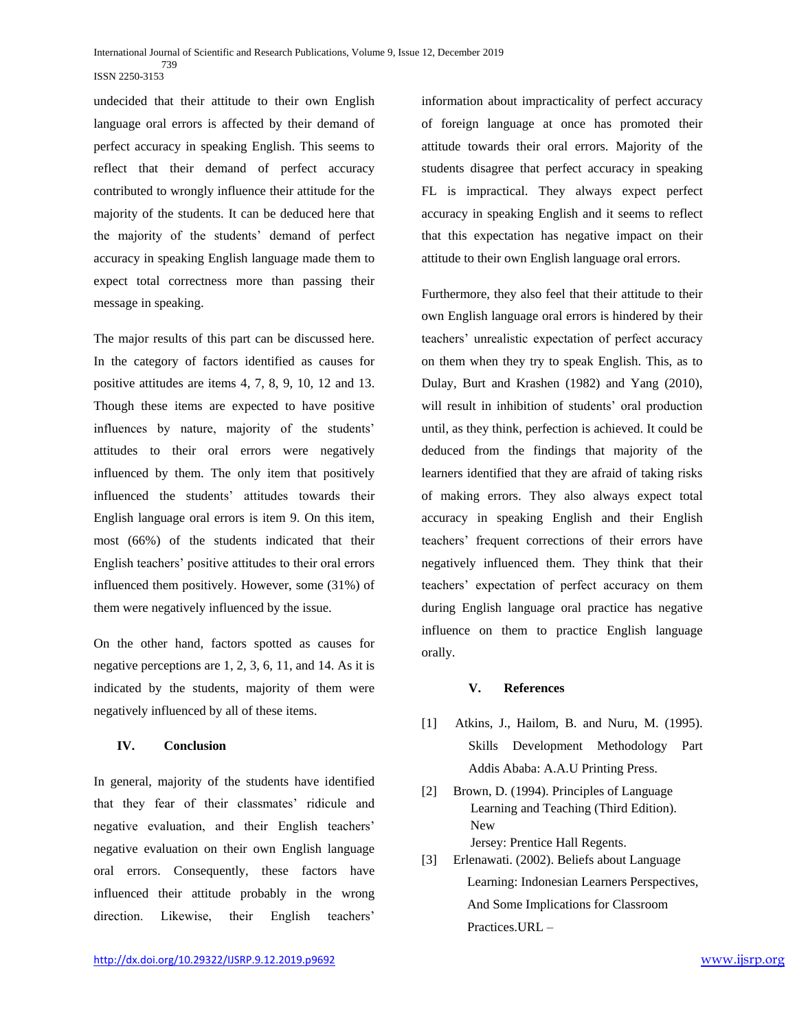undecided that their attitude to their own English language oral errors is affected by their demand of perfect accuracy in speaking English. This seems to reflect that their demand of perfect accuracy contributed to wrongly influence their attitude for the majority of the students. It can be deduced here that the majority of the students' demand of perfect accuracy in speaking English language made them to expect total correctness more than passing their message in speaking.

The major results of this part can be discussed here. In the category of factors identified as causes for positive attitudes are items 4, 7, 8, 9, 10, 12 and 13. Though these items are expected to have positive influences by nature, majority of the students' attitudes to their oral errors were negatively influenced by them. The only item that positively influenced the students' attitudes towards their English language oral errors is item 9. On this item, most (66%) of the students indicated that their English teachers' positive attitudes to their oral errors influenced them positively. However, some (31%) of them were negatively influenced by the issue.

On the other hand, factors spotted as causes for negative perceptions are 1, 2, 3, 6, 11, and 14. As it is indicated by the students, majority of them were negatively influenced by all of these items.

### **IV. Conclusion**

In general, majority of the students have identified that they fear of their classmates' ridicule and negative evaluation, and their English teachers' negative evaluation on their own English language oral errors. Consequently, these factors have influenced their attitude probably in the wrong direction. Likewise, their English teachers'

information about impracticality of perfect accuracy of foreign language at once has promoted their attitude towards their oral errors. Majority of the students disagree that perfect accuracy in speaking FL is impractical. They always expect perfect accuracy in speaking English and it seems to reflect that this expectation has negative impact on their attitude to their own English language oral errors.

Furthermore, they also feel that their attitude to their own English language oral errors is hindered by their teachers' unrealistic expectation of perfect accuracy on them when they try to speak English. This, as to Dulay, Burt and Krashen (1982) and Yang (2010), will result in inhibition of students' oral production until, as they think, perfection is achieved. It could be deduced from the findings that majority of the learners identified that they are afraid of taking risks of making errors. They also always expect total accuracy in speaking English and their English teachers' frequent corrections of their errors have negatively influenced them. They think that their teachers' expectation of perfect accuracy on them during English language oral practice has negative influence on them to practice English language orally.

#### **V. References**

- [1] Atkins, J., Hailom, B. and Nuru, M. (1995). Skills Development Methodology Part Addis Ababa: A.A.U Printing Press.
- [2] Brown, D. (1994). Principles of Language Learning and Teaching (Third Edition). New Jersey: Prentice Hall Regents.
- [3] Erlenawati. (2002). Beliefs about Language Learning: Indonesian Learners Perspectives, And Some Implications for Classroom Practices.URL –